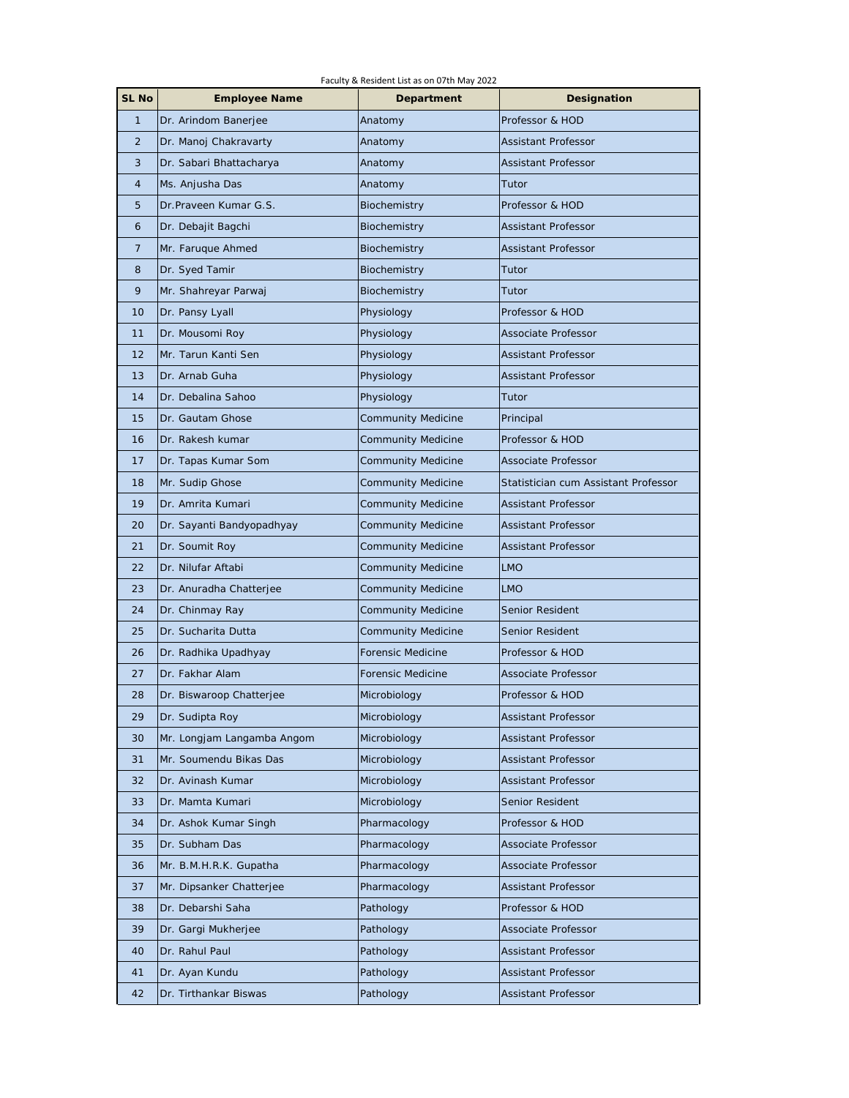| Faculty & Resident List as on 07th May 2022 |                            |                    |                                      |  |
|---------------------------------------------|----------------------------|--------------------|--------------------------------------|--|
| SL No                                       | <b>Employee Name</b>       | Department         | Designation                          |  |
| $\mathbf{1}$                                | Dr. Arindom Banerjee       | Anatomy            | Professor & HOD                      |  |
| $\overline{2}$                              | Dr. Manoj Chakravarty      | Anatomy            | Assistant Professor                  |  |
| 3                                           | Dr. Sabari Bhattacharya    | Anatomy            | Assistant Professor                  |  |
| 4                                           | Ms. Anjusha Das            | Anatomy            | Tutor                                |  |
| 5                                           | Dr.Praveen Kumar G.S.      | Biochemistry       | Professor & HOD                      |  |
| 6                                           | Dr. Debajit Bagchi         | Biochemistry       | Assistant Professor                  |  |
| $\overline{7}$                              | Mr. Faruque Ahmed          | Biochemistry       | Assistant Professor                  |  |
| 8                                           | Dr. Syed Tamir             | Biochemistry       | Tutor                                |  |
| 9                                           | Mr. Shahreyar Parwaj       | Biochemistry       | Tutor                                |  |
| 10                                          | Dr. Pansy Lyall            | Physiology         | Professor & HOD                      |  |
| 11                                          | Dr. Mousomi Roy            | Physiology         | Associate Professor                  |  |
| 12                                          | Mr. Tarun Kanti Sen        | Physiology         | Assistant Professor                  |  |
| 13                                          | Dr. Arnab Guha             | Physiology         | Assistant Professor                  |  |
| 14                                          | Dr. Debalina Sahoo         | Physiology         | Tutor                                |  |
| 15                                          | Dr. Gautam Ghose           | Community Medicine | Principal                            |  |
| 16                                          | Dr. Rakesh kumar           | Community Medicine | Professor & HOD                      |  |
| 17                                          | Dr. Tapas Kumar Som        | Community Medicine | Associate Professor                  |  |
| 18                                          | Mr. Sudip Ghose            | Community Medicine | Statistician cum Assistant Professor |  |
| 19                                          | Dr. Amrita Kumari          | Community Medicine | Assistant Professor                  |  |
| 20                                          | Dr. Sayanti Bandyopadhyay  | Community Medicine | Assistant Professor                  |  |
| 21                                          | Dr. Soumit Roy             | Community Medicine | Assistant Professor                  |  |
| 22                                          | Dr. Nilufar Aftabi         | Community Medicine | <b>LMO</b>                           |  |
| 23                                          | Dr. Anuradha Chatterjee    | Community Medicine | <b>LMO</b>                           |  |
| 24                                          | Dr. Chinmay Ray            | Community Medicine | Senior Resident                      |  |
| 25                                          | Dr. Sucharita Dutta        | Community Medicine | Senior Resident                      |  |
| 26                                          | Dr. Radhika Upadhyay       | Forensic Medicine  | Professor & HOD                      |  |
| 27                                          | Dr. Fakhar Alam            | Forensic Medicine  | Associate Professor                  |  |
| 28                                          | Dr. Biswaroop Chatterjee   | Microbiology       | Professor & HOD                      |  |
| 29                                          | Dr. Sudipta Roy            | Microbiology       | Assistant Professor                  |  |
| 30                                          | Mr. Longjam Langamba Angom | Microbiology       | Assistant Professor                  |  |
| 31                                          | Mr. Soumendu Bikas Das     | Microbiology       | Assistant Professor                  |  |
| 32                                          | Dr. Avinash Kumar          | Microbiology       | Assistant Professor                  |  |
| 33                                          | Dr. Mamta Kumari           | Microbiology       | Senior Resident                      |  |
| 34                                          | Dr. Ashok Kumar Singh      | Pharmacology       | Professor & HOD                      |  |
| 35                                          | Dr. Subham Das             | Pharmacology       | Associate Professor                  |  |
| 36                                          | Mr. B.M.H.R.K. Gupatha     | Pharmacology       | Associate Professor                  |  |
| 37                                          | Mr. Dipsanker Chatterjee   | Pharmacology       | Assistant Professor                  |  |
| 38                                          | Dr. Debarshi Saha          | Pathology          | Professor & HOD                      |  |
| 39                                          | Dr. Gargi Mukherjee        | Pathology          | Associate Professor                  |  |
| 40                                          | Dr. Rahul Paul             | Pathology          | Assistant Professor                  |  |
| 41                                          | Dr. Ayan Kundu             | Pathology          | Assistant Professor                  |  |
| 42                                          | Dr. Tirthankar Biswas      | Pathology          | Assistant Professor                  |  |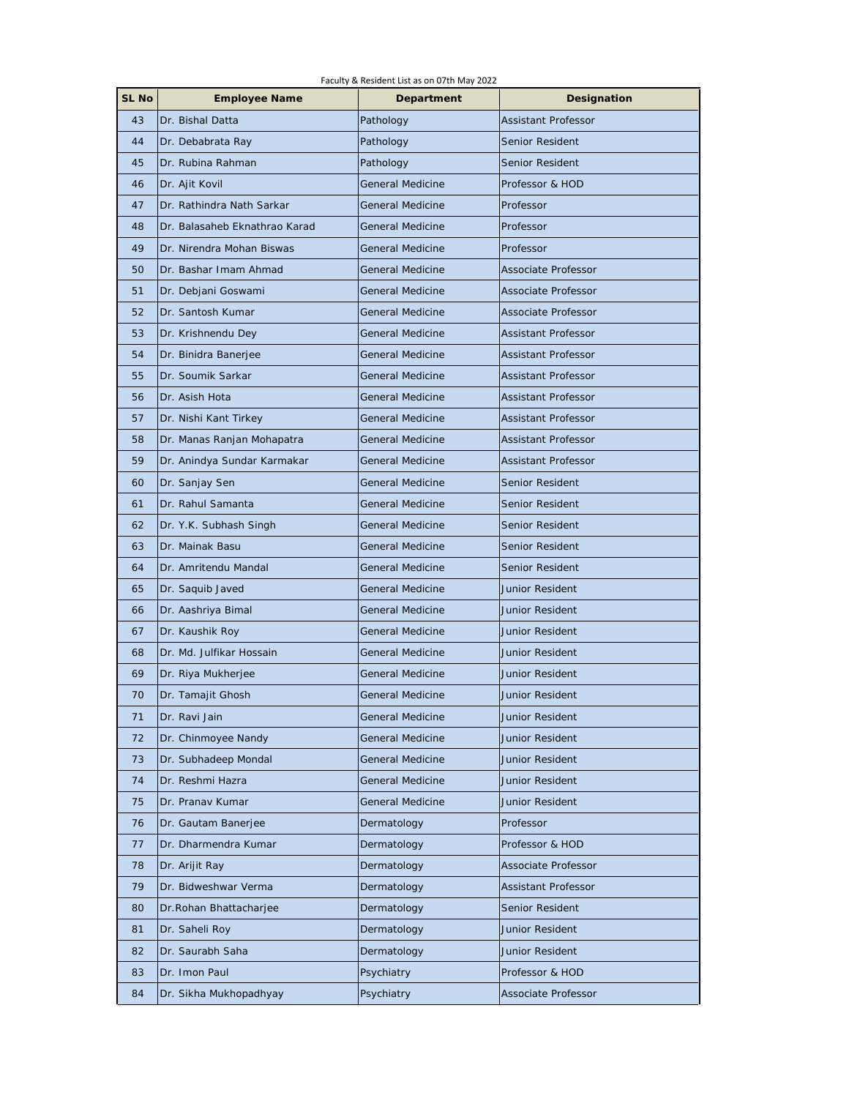| Faculty & Resident List as on 07th May 2022 |                               |                         |                            |  |
|---------------------------------------------|-------------------------------|-------------------------|----------------------------|--|
| SL No                                       | <b>Employee Name</b>          | Department              | Designation                |  |
| 43                                          | Dr. Bishal Datta              | Pathology               | Assistant Professor        |  |
| 44                                          | Dr. Debabrata Ray             | Pathology               | Senior Resident            |  |
| 45                                          | Dr. Rubina Rahman             | Pathology               | Senior Resident            |  |
| 46                                          | Dr. Ajit Kovil                | <b>General Medicine</b> | Professor & HOD            |  |
| 47                                          | Dr. Rathindra Nath Sarkar     | <b>General Medicine</b> | Professor                  |  |
| 48                                          | Dr. Balasaheb Eknathrao Karad | <b>General Medicine</b> | Professor                  |  |
| 49                                          | Dr. Nirendra Mohan Biswas     | <b>General Medicine</b> | Professor                  |  |
| 50                                          | Dr. Bashar Imam Ahmad         | <b>General Medicine</b> | Associate Professor        |  |
| 51                                          | Dr. Debjani Goswami           | <b>General Medicine</b> | Associate Professor        |  |
| 52                                          | Dr. Santosh Kumar             | <b>General Medicine</b> | Associate Professor        |  |
| 53                                          | Dr. Krishnendu Dey            | <b>General Medicine</b> | Assistant Professor        |  |
| 54                                          | Dr. Binidra Banerjee          | <b>General Medicine</b> | <b>Assistant Professor</b> |  |
| 55                                          | Dr. Soumik Sarkar             | <b>General Medicine</b> | <b>Assistant Professor</b> |  |
| 56                                          | Dr. Asish Hota                | <b>General Medicine</b> | <b>Assistant Professor</b> |  |
| 57                                          | Dr. Nishi Kant Tirkey         | <b>General Medicine</b> | <b>Assistant Professor</b> |  |
| 58                                          | Dr. Manas Ranjan Mohapatra    | <b>General Medicine</b> | Assistant Professor        |  |
| 59                                          | Dr. Anindya Sundar Karmakar   | <b>General Medicine</b> | <b>Assistant Professor</b> |  |
| 60                                          | Dr. Sanjay Sen                | <b>General Medicine</b> | Senior Resident            |  |
| 61                                          | Dr. Rahul Samanta             | <b>General Medicine</b> | Senior Resident            |  |
| 62                                          | Dr. Y.K. Subhash Singh        | <b>General Medicine</b> | Senior Resident            |  |
| 63                                          | Dr. Mainak Basu               | <b>General Medicine</b> | Senior Resident            |  |
| 64                                          | Dr. Amritendu Mandal          | <b>General Medicine</b> | Senior Resident            |  |
| 65                                          | Dr. Saquib Javed              | <b>General Medicine</b> | Junior Resident            |  |
| 66                                          | Dr. Aashriya Bimal            | <b>General Medicine</b> | Junior Resident            |  |
| 67                                          | Dr. Kaushik Roy               | <b>General Medicine</b> | Junior Resident            |  |
| 68                                          | Dr. Md. Julfikar Hossain      | <b>General Medicine</b> | Junior Resident            |  |
| 69                                          | Dr. Riya Mukherjee            | <b>General Medicine</b> | Junior Resident            |  |
| 70                                          | Dr. Tamajit Ghosh             | General Medicine        | Junior Resident            |  |
| 71                                          | Dr. Ravi Jain                 | <b>General Medicine</b> | Junior Resident            |  |
| 72                                          | Dr. Chinmoyee Nandy           | <b>General Medicine</b> | Junior Resident            |  |
| 73                                          | Dr. Subhadeep Mondal          | General Medicine        | Junior Resident            |  |
| 74                                          | Dr. Reshmi Hazra              | General Medicine        | Junior Resident            |  |
| 75                                          | Dr. Pranav Kumar              | <b>General Medicine</b> | Junior Resident            |  |
| 76                                          | Dr. Gautam Banerjee           | Dermatology             | Professor                  |  |
| 77                                          | Dr. Dharmendra Kumar          | Dermatology             | Professor & HOD            |  |
| 78                                          | Dr. Arijit Ray                | Dermatology             | Associate Professor        |  |
| 79                                          | Dr. Bidweshwar Verma          | Dermatology             | Assistant Professor        |  |
| 80                                          | Dr. Rohan Bhattacharjee       | Dermatology             | Senior Resident            |  |
| 81                                          | Dr. Saheli Roy                | Dermatology             | Junior Resident            |  |
| 82                                          | Dr. Saurabh Saha              | Dermatology             | Junior Resident            |  |
| 83                                          | Dr. Imon Paul                 | Psychiatry              | Professor & HOD            |  |
| 84                                          | Dr. Sikha Mukhopadhyay        | Psychiatry              | Associate Professor        |  |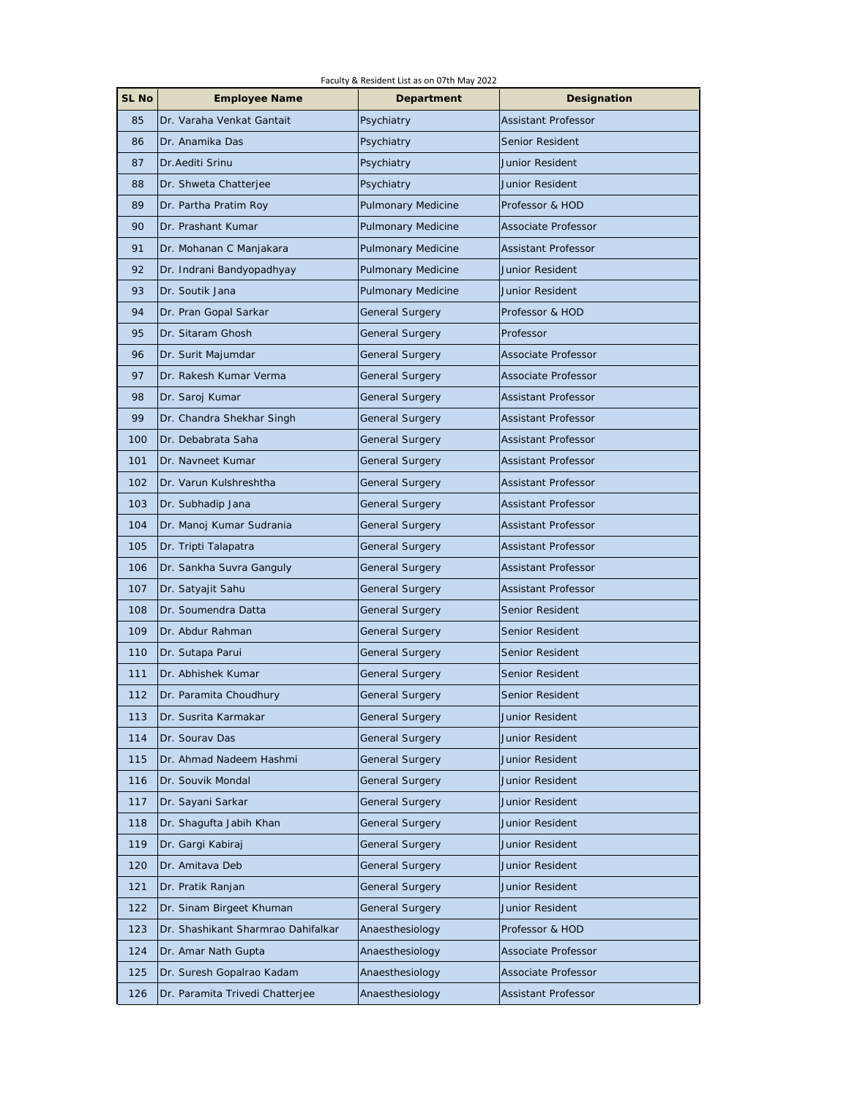| Faculty & Resident List as on 07th May 2022 |                                    |                           |                            |  |
|---------------------------------------------|------------------------------------|---------------------------|----------------------------|--|
| SL No                                       | <b>Employee Name</b>               | Department                | Designation                |  |
| 85                                          | Dr. Varaha Venkat Gantait          | Psychiatry                | Assistant Professor        |  |
| 86                                          | Dr. Anamika Das                    | Psychiatry                | Senior Resident            |  |
| 87                                          | Dr. Aediti Srinu                   | Psychiatry                | <b>Junior Resident</b>     |  |
| 88                                          | Dr. Shweta Chatterjee              | Psychiatry                | Junior Resident            |  |
| 89                                          | Dr. Partha Pratim Roy              | Pulmonary Medicine        | Professor & HOD            |  |
| 90                                          | Dr. Prashant Kumar                 | Pulmonary Medicine        | Associate Professor        |  |
| 91                                          | Dr. Mohanan C Manjakara            | Pulmonary Medicine        | Assistant Professor        |  |
| 92                                          | Dr. Indrani Bandyopadhyay          | <b>Pulmonary Medicine</b> | Junior Resident            |  |
| 93                                          | Dr. Soutik Jana                    | Pulmonary Medicine        | Junior Resident            |  |
| 94                                          | Dr. Pran Gopal Sarkar              | General Surgery           | Professor & HOD            |  |
| 95                                          | Dr. Sitaram Ghosh                  | General Surgery           | Professor                  |  |
| 96                                          | Dr. Surit Majumdar                 | <b>General Surgery</b>    | Associate Professor        |  |
| 97                                          | Dr. Rakesh Kumar Verma             | <b>General Surgery</b>    | Associate Professor        |  |
| 98                                          | Dr. Saroj Kumar                    | General Surgery           | <b>Assistant Professor</b> |  |
| 99                                          | Dr. Chandra Shekhar Singh          | General Surgery           | Assistant Professor        |  |
| 100                                         | Dr. Debabrata Saha                 | General Surgery           | Assistant Professor        |  |
| 101                                         | Dr. Navneet Kumar                  | General Surgery           | <b>Assistant Professor</b> |  |
| 102                                         | Dr. Varun Kulshreshtha             | General Surgery           | Assistant Professor        |  |
| 103                                         | Dr. Subhadip Jana                  | General Surgery           | Assistant Professor        |  |
| 104                                         | Dr. Manoj Kumar Sudrania           | <b>General Surgery</b>    | Assistant Professor        |  |
| 105                                         | Dr. Tripti Talapatra               | General Surgery           | <b>Assistant Professor</b> |  |
| 106                                         | Dr. Sankha Suvra Ganguly           | General Surgery           | Assistant Professor        |  |
| 107                                         | Dr. Satyajit Sahu                  | General Surgery           | Assistant Professor        |  |
| 108                                         | Dr. Soumendra Datta                | <b>General Surgery</b>    | Senior Resident            |  |
| 109                                         | Dr. Abdur Rahman                   | General Surgery           | Senior Resident            |  |
| 110                                         | Dr. Sutapa Parui                   | General Surgery           | Senior Resident            |  |
| 111                                         | Dr. Abhishek Kumar                 | General Surgery           | Senior Resident            |  |
| 112                                         | Dr. Paramita Choudhury             | General Surgery           | Senior Resident            |  |
| 113                                         | Dr. Susrita Karmakar               | <b>General Surgery</b>    | Junior Resident            |  |
| 114                                         | Dr. Sourav Das                     | <b>General Surgery</b>    | Junior Resident            |  |
| 115                                         | Dr. Ahmad Nadeem Hashmi            | General Surgery           | Junior Resident            |  |
| 116                                         | Dr. Souvik Mondal                  | General Surgery           | Junior Resident            |  |
| 117                                         | Dr. Sayani Sarkar                  | <b>General Surgery</b>    | Junior Resident            |  |
| 118                                         | Dr. Shagufta Jabih Khan            | <b>General Surgery</b>    | Junior Resident            |  |
| 119                                         | Dr. Gargi Kabiraj                  | <b>General Surgery</b>    | Junior Resident            |  |
| 120                                         | Dr. Amitava Deb                    | <b>General Surgery</b>    | Junior Resident            |  |
| 121                                         | Dr. Pratik Ranjan                  | <b>General Surgery</b>    | Junior Resident            |  |
| 122                                         | Dr. Sinam Birgeet Khuman           | <b>General Surgery</b>    | Junior Resident            |  |
| 123                                         | Dr. Shashikant Sharmrao Dahifalkar | Anaesthesiology           | Professor & HOD            |  |
| 124                                         | Dr. Amar Nath Gupta                | Anaesthesiology           | Associate Professor        |  |
| 125                                         | Dr. Suresh Gopalrao Kadam          | Anaesthesiology           | Associate Professor        |  |
| 126                                         | Dr. Paramita Trivedi Chatterjee    | Anaesthesiology           | Assistant Professor        |  |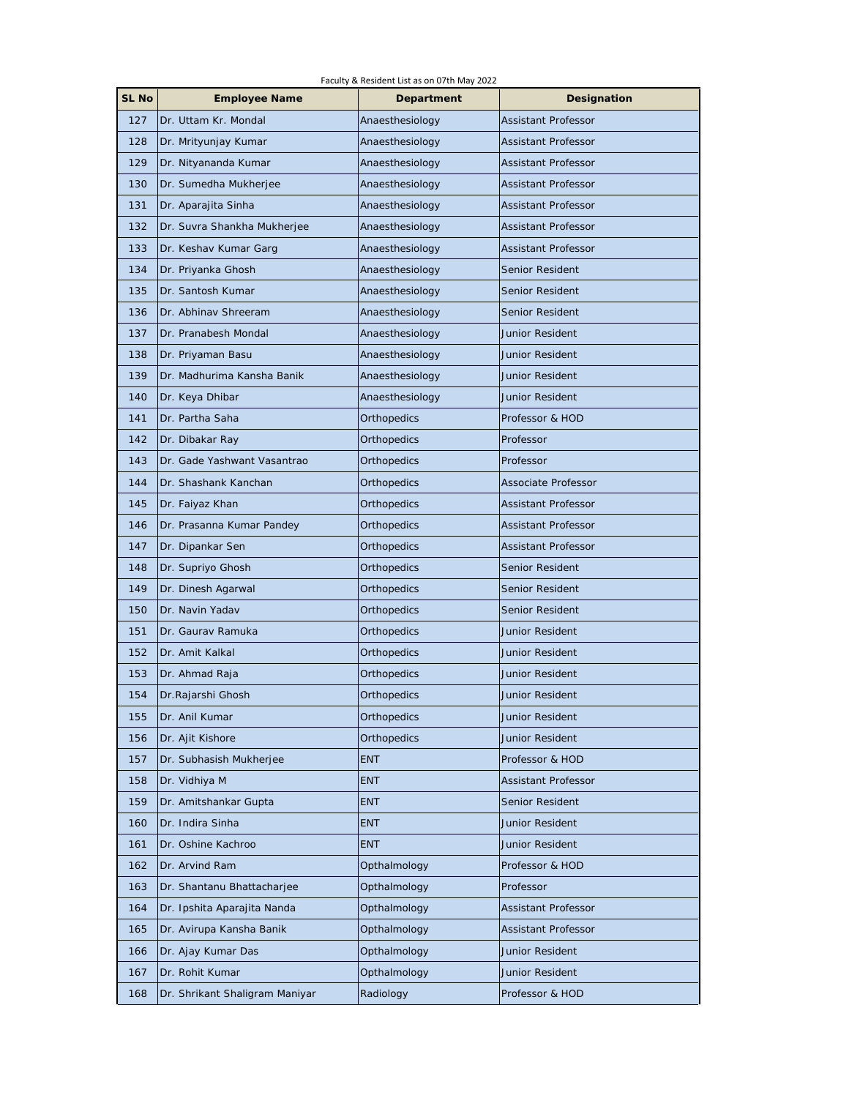| Faculty & Resident List as on 07th May 2022 |                                |                    |                        |  |
|---------------------------------------------|--------------------------------|--------------------|------------------------|--|
| SL No                                       | <b>Employee Name</b>           | Department         | Designation            |  |
| 127                                         | Dr. Uttam Kr. Mondal           | Anaesthesiology    | Assistant Professor    |  |
| 128                                         | Dr. Mrityunjay Kumar           | Anaesthesiology    | Assistant Professor    |  |
| 129                                         | Dr. Nityananda Kumar           | Anaesthesiology    | Assistant Professor    |  |
| 130                                         | Dr. Sumedha Mukherjee          | Anaesthesiology    | Assistant Professor    |  |
| 131                                         | Dr. Aparajita Sinha            | Anaesthesiology    | Assistant Professor    |  |
| 132                                         | Dr. Suvra Shankha Mukherjee    | Anaesthesiology    | Assistant Professor    |  |
| 133                                         | Dr. Keshav Kumar Garg          | Anaesthesiology    | Assistant Professor    |  |
| 134                                         | Dr. Priyanka Ghosh             | Anaesthesiology    | Senior Resident        |  |
| 135                                         | Dr. Santosh Kumar              | Anaesthesiology    | Senior Resident        |  |
| 136                                         | Dr. Abhinav Shreeram           | Anaesthesiology    | Senior Resident        |  |
| 137                                         | Dr. Pranabesh Mondal           | Anaesthesiology    | Junior Resident        |  |
| 138                                         | Dr. Priyaman Basu              | Anaesthesiology    | Junior Resident        |  |
| 139                                         | Dr. Madhurima Kansha Banik     | Anaesthesiology    | Junior Resident        |  |
| 140                                         | Dr. Keya Dhibar                | Anaesthesiology    | Junior Resident        |  |
| 141                                         | Dr. Partha Saha                | Orthopedics        | Professor & HOD        |  |
| 142                                         | Dr. Dibakar Ray                | Orthopedics        | Professor              |  |
| 143                                         | Dr. Gade Yashwant Vasantrao    | Orthopedics        | Professor              |  |
| 144                                         | Dr. Shashank Kanchan           | Orthopedics        | Associate Professor    |  |
| 145                                         | Dr. Faiyaz Khan                | Orthopedics        | Assistant Professor    |  |
| 146                                         | Dr. Prasanna Kumar Pandey      | Orthopedics        | Assistant Professor    |  |
| 147                                         | Dr. Dipankar Sen               | Orthopedics        | Assistant Professor    |  |
| 148                                         | Dr. Supriyo Ghosh              | Orthopedics        | Senior Resident        |  |
| 149                                         | Dr. Dinesh Agarwal             | Orthopedics        | Senior Resident        |  |
| 150                                         | Dr. Navin Yadav                | Orthopedics        | Senior Resident        |  |
| 151                                         | Dr. Gauray Ramuka              | Orthopedics        | <b>Junior Resident</b> |  |
| 152                                         | Dr. Amit Kalkal                | Orthopedics        | Junior Resident        |  |
| 153                                         | Dr. Ahmad Raja                 | Orthopedics        | Junior Resident        |  |
| 154                                         | Dr. Rajarshi Ghosh             | Orthopedics        | Junior Resident        |  |
| 155                                         | Dr. Anil Kumar                 | <b>Orthopedics</b> | Junior Resident        |  |
| 156                                         | Dr. Ajit Kishore               | Orthopedics        | Junior Resident        |  |
| 157                                         | Dr. Subhasish Mukherjee        | <b>ENT</b>         | Professor & HOD        |  |
| 158                                         | Dr. Vidhiya M                  | <b>ENT</b>         | Assistant Professor    |  |
| 159                                         | Dr. Amitshankar Gupta          | <b>ENT</b>         | Senior Resident        |  |
| 160                                         | Dr. Indira Sinha               | <b>ENT</b>         | Junior Resident        |  |
| 161                                         | Dr. Oshine Kachroo             | <b>ENT</b>         | Junior Resident        |  |
| 162                                         | Dr. Arvind Ram                 | Opthalmology       | Professor & HOD        |  |
| 163                                         | Dr. Shantanu Bhattacharjee     | Opthalmology       | Professor              |  |
| 164                                         | Dr. Ipshita Aparajita Nanda    | Opthalmology       | Assistant Professor    |  |
| 165                                         | Dr. Avirupa Kansha Banik       | Opthalmology       | Assistant Professor    |  |
| 166                                         | Dr. Ajay Kumar Das             | Opthalmology       | Junior Resident        |  |
| 167                                         | Dr. Rohit Kumar                | Opthalmology       | Junior Resident        |  |
| 168                                         | Dr. Shrikant Shaligram Maniyar | Radiology          | Professor & HOD        |  |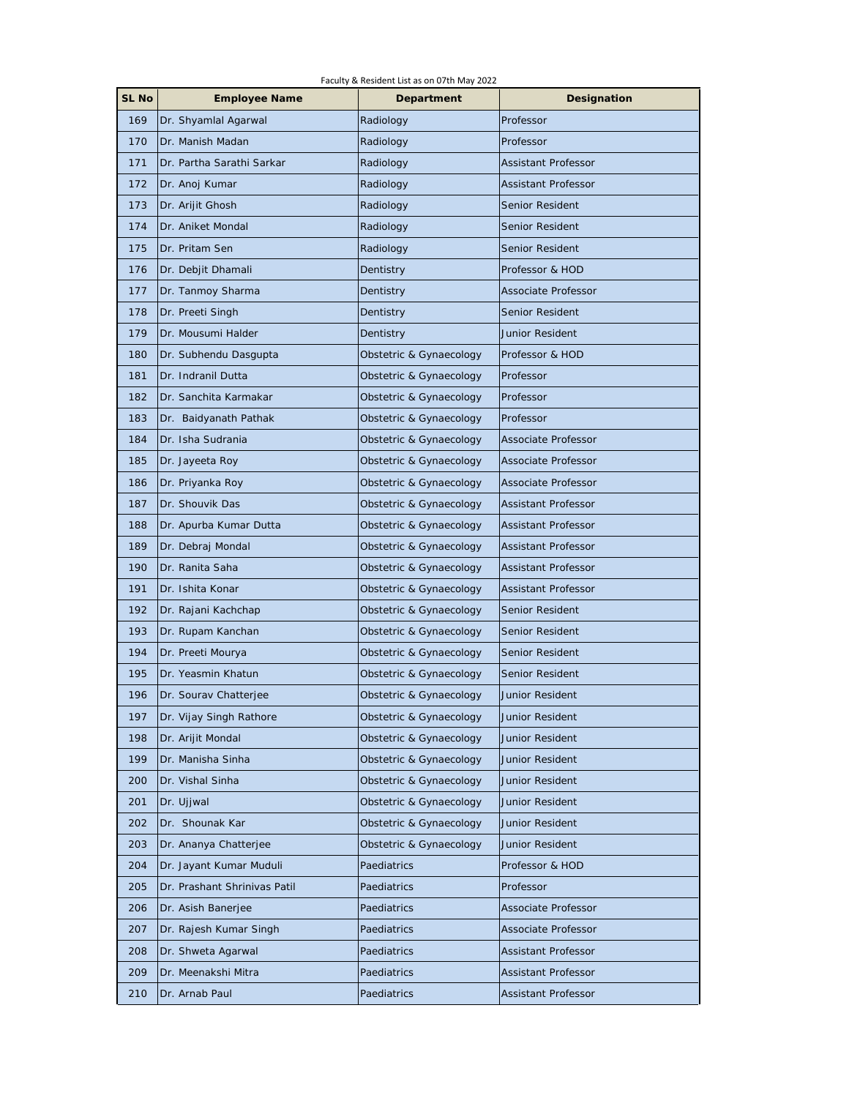| Faculty & Resident List as on 07th May 2022 |                              |                         |                            |  |
|---------------------------------------------|------------------------------|-------------------------|----------------------------|--|
| SL No                                       | <b>Employee Name</b>         | Department              | Designation                |  |
| 169                                         | Dr. Shyamlal Agarwal         | Radiology               | Professor                  |  |
| 170                                         | Dr. Manish Madan             | Radiology               | Professor                  |  |
| 171                                         | Dr. Partha Sarathi Sarkar    | Radiology               | Assistant Professor        |  |
| 172                                         | Dr. Anoj Kumar               | Radiology               | Assistant Professor        |  |
| 173                                         | Dr. Arijit Ghosh             | Radiology               | Senior Resident            |  |
| 174                                         | Dr. Aniket Mondal            | Radiology               | Senior Resident            |  |
| 175                                         | Dr. Pritam Sen               | Radiology               | Senior Resident            |  |
| 176                                         | Dr. Debjit Dhamali           | Dentistry               | Professor & HOD            |  |
| 177                                         | Dr. Tanmoy Sharma            | Dentistry               | Associate Professor        |  |
| 178                                         | Dr. Preeti Singh             | Dentistry               | Senior Resident            |  |
| 179                                         | Dr. Mousumi Halder           | Dentistry               | Junior Resident            |  |
| 180                                         | Dr. Subhendu Dasgupta        | Obstetric & Gynaecology | Professor & HOD            |  |
| 181                                         | Dr. Indranil Dutta           | Obstetric & Gynaecology | Professor                  |  |
| 182                                         | Dr. Sanchita Karmakar        | Obstetric & Gynaecology | Professor                  |  |
| 183                                         | Dr. Baidyanath Pathak        | Obstetric & Gynaecology | Professor                  |  |
| 184                                         | Dr. Isha Sudrania            | Obstetric & Gynaecology | Associate Professor        |  |
| 185                                         | Dr. Jayeeta Roy              | Obstetric & Gynaecology | Associate Professor        |  |
| 186                                         | Dr. Priyanka Roy             | Obstetric & Gynaecology | Associate Professor        |  |
| 187                                         | Dr. Shouvik Das              | Obstetric & Gynaecology | Assistant Professor        |  |
| 188                                         | Dr. Apurba Kumar Dutta       | Obstetric & Gynaecology | <b>Assistant Professor</b> |  |
| 189                                         | Dr. Debraj Mondal            | Obstetric & Gynaecology | <b>Assistant Professor</b> |  |
| 190                                         | Dr. Ranita Saha              | Obstetric & Gynaecology | Assistant Professor        |  |
| 191                                         | Dr. Ishita Konar             | Obstetric & Gynaecology | Assistant Professor        |  |
| 192                                         | Dr. Rajani Kachchap          | Obstetric & Gynaecology | Senior Resident            |  |
| 193                                         | Dr. Rupam Kanchan            | Obstetric & Gynaecology | Senior Resident            |  |
| 194                                         | Dr. Preeti Mourya            | Obstetric & Gynaecology | Senior Resident            |  |
| 195                                         | Dr. Yeasmin Khatun           | Obstetric & Gynaecology | Senior Resident            |  |
| 196                                         | Dr. Sourav Chatterjee        | Obstetric & Gynaecology | Junior Resident            |  |
| 197                                         | Dr. Vijay Singh Rathore      | Obstetric & Gynaecology | Junior Resident            |  |
| 198                                         | Dr. Arijit Mondal            | Obstetric & Gynaecology | Junior Resident            |  |
| 199                                         | Dr. Manisha Sinha            | Obstetric & Gynaecology | Junior Resident            |  |
| 200                                         | Dr. Vishal Sinha             | Obstetric & Gynaecology | Junior Resident            |  |
| 201                                         | Dr. Ujjwal                   | Obstetric & Gynaecology | Junior Resident            |  |
| 202                                         | Dr. Shounak Kar              | Obstetric & Gynaecology | Junior Resident            |  |
| 203                                         | Dr. Ananya Chatterjee        | Obstetric & Gynaecology | Junior Resident            |  |
| 204                                         | Dr. Jayant Kumar Muduli      | Paediatrics             | Professor & HOD            |  |
| 205                                         | Dr. Prashant Shrinivas Patil | Paediatrics             | Professor                  |  |
| 206                                         | Dr. Asish Banerjee           | Paediatrics             | Associate Professor        |  |
| 207                                         | Dr. Rajesh Kumar Singh       | Paediatrics             | Associate Professor        |  |
| 208                                         | Dr. Shweta Agarwal           | Paediatrics             | Assistant Professor        |  |
| 209                                         | Dr. Meenakshi Mitra          | Paediatrics             | Assistant Professor        |  |
| 210                                         | Dr. Arnab Paul               | Paediatrics             | Assistant Professor        |  |